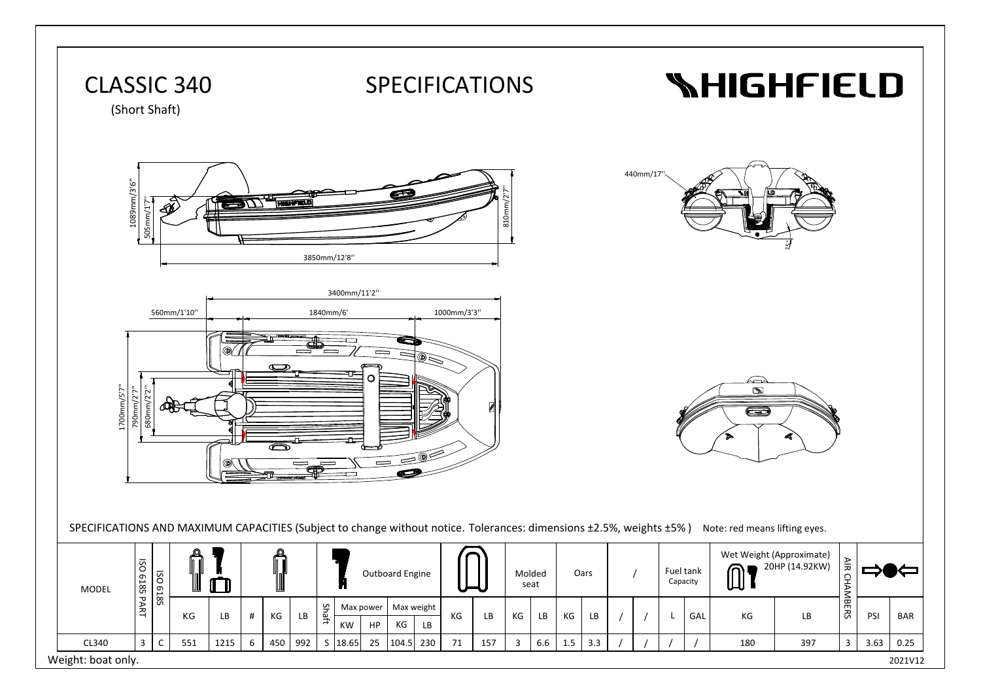